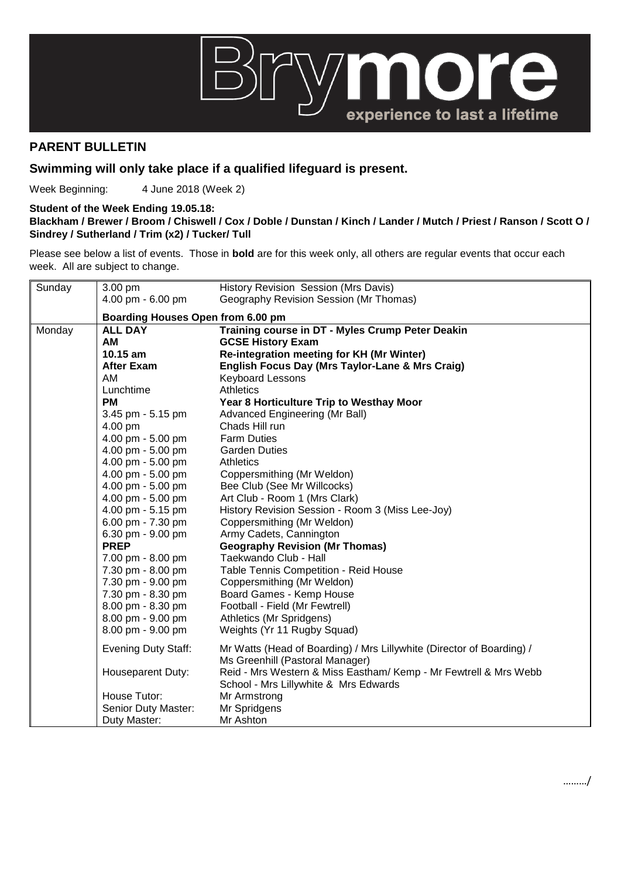

## **PARENT BULLETIN**

## **Swimming will only take place if a qualified lifeguard is present.**

Week Beginning: 4 June 2018 (Week 2)

## **Student of the Week Ending 19.05.18:**

## **Blackham / Brewer / Broom / Chiswell / Cox / Doble / Dunstan / Kinch / Lander / Mutch / Priest / Ranson / Scott O / Sindrey / Sutherland / Trim (x2) / Tucker/ Tull**

Please see below a list of events. Those in **bold** are for this week only, all others are regular events that occur each week. All are subject to change.

| Sunday | 3.00 pm                           | History Revision Session (Mrs Davis)                                                                     |  |
|--------|-----------------------------------|----------------------------------------------------------------------------------------------------------|--|
|        | 4.00 pm - 6.00 pm                 | Geography Revision Session (Mr Thomas)                                                                   |  |
|        | Boarding Houses Open from 6.00 pm |                                                                                                          |  |
| Monday | <b>ALL DAY</b>                    | Training course in DT - Myles Crump Peter Deakin                                                         |  |
|        | AM                                | <b>GCSE History Exam</b>                                                                                 |  |
|        | 10.15 am                          | Re-integration meeting for KH (Mr Winter)                                                                |  |
|        | <b>After Exam</b>                 | English Focus Day (Mrs Taylor-Lane & Mrs Craig)                                                          |  |
|        | AM                                | <b>Keyboard Lessons</b>                                                                                  |  |
|        | Lunchtime                         | Athletics                                                                                                |  |
|        | <b>PM</b>                         | Year 8 Horticulture Trip to Westhay Moor                                                                 |  |
|        | 3.45 pm - 5.15 pm                 | Advanced Engineering (Mr Ball)                                                                           |  |
|        | 4.00 pm                           | Chads Hill run                                                                                           |  |
|        | 4.00 pm - 5.00 pm                 | <b>Farm Duties</b>                                                                                       |  |
|        | 4.00 pm - 5.00 pm                 | <b>Garden Duties</b>                                                                                     |  |
|        | 4.00 pm - 5.00 pm                 | <b>Athletics</b>                                                                                         |  |
|        | 4.00 pm - 5.00 pm                 | Coppersmithing (Mr Weldon)                                                                               |  |
|        | 4.00 pm - 5.00 pm                 | Bee Club (See Mr Willcocks)                                                                              |  |
|        | 4.00 pm - 5.00 pm                 | Art Club - Room 1 (Mrs Clark)                                                                            |  |
|        | 4.00 pm - 5.15 pm                 | History Revision Session - Room 3 (Miss Lee-Joy)                                                         |  |
|        | 6.00 pm - 7.30 pm                 | Coppersmithing (Mr Weldon)                                                                               |  |
|        | 6.30 pm - 9.00 pm                 | Army Cadets, Cannington                                                                                  |  |
|        | <b>PREP</b>                       | <b>Geography Revision (Mr Thomas)</b>                                                                    |  |
|        | 7.00 pm - 8.00 pm                 | Taekwando Club - Hall                                                                                    |  |
|        | 7.30 pm - 8.00 pm                 | Table Tennis Competition - Reid House                                                                    |  |
|        | 7.30 pm - 9.00 pm                 | Coppersmithing (Mr Weldon)                                                                               |  |
|        | 7.30 pm - 8.30 pm                 | Board Games - Kemp House                                                                                 |  |
|        | 8.00 pm - 8.30 pm                 | Football - Field (Mr Fewtrell)                                                                           |  |
|        | 8.00 pm - 9.00 pm                 | Athletics (Mr Spridgens)                                                                                 |  |
|        | 8.00 pm - 9.00 pm                 | Weights (Yr 11 Rugby Squad)                                                                              |  |
|        | <b>Evening Duty Staff:</b>        | Mr Watts (Head of Boarding) / Mrs Lillywhite (Director of Boarding) /<br>Ms Greenhill (Pastoral Manager) |  |
|        | Houseparent Duty:                 | Reid - Mrs Western & Miss Eastham/Kemp - Mr Fewtrell & Mrs Webb<br>School - Mrs Lillywhite & Mrs Edwards |  |
|        | House Tutor:                      | Mr Armstrong                                                                                             |  |
|        | Senior Duty Master:               | Mr Spridgens                                                                                             |  |
|        | Duty Master:                      | Mr Ashton                                                                                                |  |
|        |                                   |                                                                                                          |  |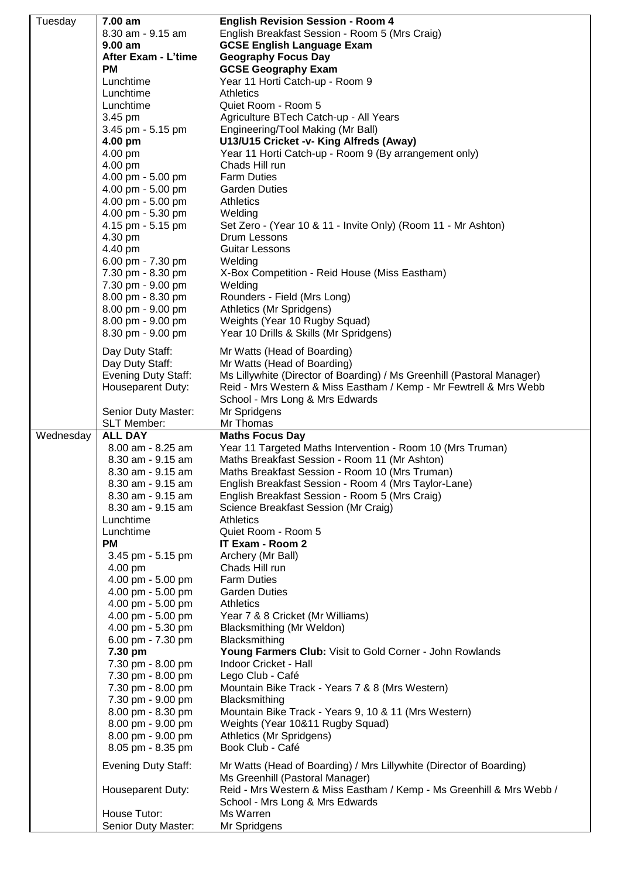| Tuesday   | 7.00 am                                | <b>English Revision Session - Room 4</b>                                                        |
|-----------|----------------------------------------|-------------------------------------------------------------------------------------------------|
|           | 8.30 am - 9.15 am                      | English Breakfast Session - Room 5 (Mrs Craig)                                                  |
|           | 9.00 am                                | <b>GCSE English Language Exam</b>                                                               |
|           | After Exam - L'time                    | <b>Geography Focus Day</b>                                                                      |
|           | <b>PM</b>                              | <b>GCSE Geography Exam</b>                                                                      |
|           | Lunchtime<br>Lunchtime                 | Year 11 Horti Catch-up - Room 9<br><b>Athletics</b>                                             |
|           | Lunchtime                              | Quiet Room - Room 5                                                                             |
|           | 3.45 pm                                | Agriculture BTech Catch-up - All Years                                                          |
|           | 3.45 pm - 5.15 pm                      | Engineering/Tool Making (Mr Ball)                                                               |
|           | 4.00 pm                                | U13/U15 Cricket -v- King Alfreds (Away)                                                         |
|           | 4.00 pm                                | Year 11 Horti Catch-up - Room 9 (By arrangement only)                                           |
|           | 4.00 pm                                | Chads Hill run                                                                                  |
|           | 4.00 pm - 5.00 pm                      | <b>Farm Duties</b>                                                                              |
|           | 4.00 pm - 5.00 pm                      | <b>Garden Duties</b>                                                                            |
|           | 4.00 pm - 5.00 pm                      | <b>Athletics</b>                                                                                |
|           | 4.00 pm - 5.30 pm                      | Welding                                                                                         |
|           | 4.15 pm - 5.15 pm<br>4.30 pm           | Set Zero - (Year 10 & 11 - Invite Only) (Room 11 - Mr Ashton)<br>Drum Lessons                   |
|           | 4.40 pm                                | Guitar Lessons                                                                                  |
|           | 6.00 pm - 7.30 pm                      | Welding                                                                                         |
|           | 7.30 pm - 8.30 pm                      | X-Box Competition - Reid House (Miss Eastham)                                                   |
|           | 7.30 pm - 9.00 pm                      | Welding                                                                                         |
|           | 8.00 pm - 8.30 pm                      | Rounders - Field (Mrs Long)                                                                     |
|           | 8.00 pm - 9.00 pm                      | Athletics (Mr Spridgens)                                                                        |
|           | 8.00 pm - 9.00 pm                      | Weights (Year 10 Rugby Squad)                                                                   |
|           | 8.30 pm - 9.00 pm                      | Year 10 Drills & Skills (Mr Spridgens)                                                          |
|           | Day Duty Staff:                        | Mr Watts (Head of Boarding)                                                                     |
|           | Day Duty Staff:                        | Mr Watts (Head of Boarding)                                                                     |
|           | <b>Evening Duty Staff:</b>             | Ms Lillywhite (Director of Boarding) / Ms Greenhill (Pastoral Manager)                          |
|           | Houseparent Duty:                      | Reid - Mrs Western & Miss Eastham / Kemp - Mr Fewtrell & Mrs Webb                               |
|           |                                        | School - Mrs Long & Mrs Edwards                                                                 |
|           | Senior Duty Master:<br>SLT Member:     | Mr Spridgens<br>Mr Thomas                                                                       |
|           |                                        |                                                                                                 |
|           |                                        |                                                                                                 |
| Wednesday | <b>ALL DAY</b>                         | <b>Maths Focus Day</b>                                                                          |
|           | 8.00 am - 8.25 am<br>8.30 am - 9.15 am | Year 11 Targeted Maths Intervention - Room 10 (Mrs Truman)                                      |
|           | 8.30 am - 9.15 am                      | Maths Breakfast Session - Room 11 (Mr Ashton)<br>Maths Breakfast Session - Room 10 (Mrs Truman) |
|           | $8.30$ am - $9.15$ am                  | English Breakfast Session - Room 4 (Mrs Taylor-Lane)                                            |
|           | 8.30 am - 9.15 am                      | English Breakfast Session - Room 5 (Mrs Craig)                                                  |
|           | 8.30 am - 9.15 am                      | Science Breakfast Session (Mr Craig)                                                            |
|           | Lunchtime                              | <b>Athletics</b>                                                                                |
|           | Lunchtime                              | Quiet Room - Room 5                                                                             |
|           | <b>PM</b>                              | IT Exam - Room 2                                                                                |
|           | 3.45 pm - 5.15 pm                      | Archery (Mr Ball)                                                                               |
|           | 4.00 pm                                | Chads Hill run<br><b>Farm Duties</b>                                                            |
|           | 4.00 pm - 5.00 pm<br>4.00 pm - 5.00 pm | <b>Garden Duties</b>                                                                            |
|           | 4.00 pm - 5.00 pm                      | <b>Athletics</b>                                                                                |
|           | 4.00 pm - 5.00 pm                      | Year 7 & 8 Cricket (Mr Williams)                                                                |
|           | 4.00 pm - 5.30 pm                      | Blacksmithing (Mr Weldon)                                                                       |
|           | 6.00 pm - 7.30 pm                      | Blacksmithing                                                                                   |
|           | 7.30 pm                                | Young Farmers Club: Visit to Gold Corner - John Rowlands                                        |
|           | 7.30 pm - 8.00 pm                      | Indoor Cricket - Hall                                                                           |
|           | 7.30 pm - 8.00 pm                      | Lego Club - Café                                                                                |
|           | 7.30 pm - 8.00 pm<br>7.30 pm - 9.00 pm | Mountain Bike Track - Years 7 & 8 (Mrs Western)<br>Blacksmithing                                |
|           | 8.00 pm - 8.30 pm                      | Mountain Bike Track - Years 9, 10 & 11 (Mrs Western)                                            |
|           | 8.00 pm - 9.00 pm                      | Weights (Year 10&11 Rugby Squad)                                                                |
|           | 8.00 pm - 9.00 pm                      | Athletics (Mr Spridgens)                                                                        |
|           | 8.05 pm - 8.35 pm                      | Book Club - Café                                                                                |
|           | <b>Evening Duty Staff:</b>             | Mr Watts (Head of Boarding) / Mrs Lillywhite (Director of Boarding)                             |
|           |                                        | Ms Greenhill (Pastoral Manager)                                                                 |
|           | Houseparent Duty:                      | Reid - Mrs Western & Miss Eastham / Kemp - Ms Greenhill & Mrs Webb /                            |
|           |                                        | School - Mrs Long & Mrs Edwards                                                                 |
|           | House Tutor:<br>Senior Duty Master:    | Ms Warren<br>Mr Spridgens                                                                       |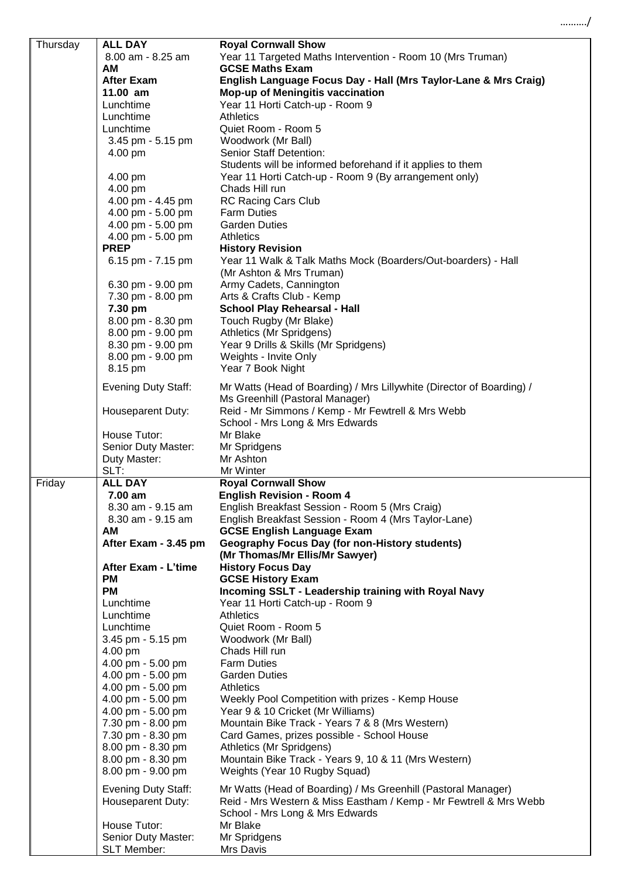| Thursday | <b>ALL DAY</b>                         | <b>Royal Cornwall Show</b>                                            |
|----------|----------------------------------------|-----------------------------------------------------------------------|
|          | 8.00 am - 8.25 am                      | Year 11 Targeted Maths Intervention - Room 10 (Mrs Truman)            |
|          | <b>AM</b>                              | <b>GCSE Maths Exam</b>                                                |
|          | <b>After Exam</b>                      | English Language Focus Day - Hall (Mrs Taylor-Lane & Mrs Craig)       |
|          | 11.00 am                               | Mop-up of Meningitis vaccination                                      |
|          | Lunchtime                              | Year 11 Horti Catch-up - Room 9                                       |
|          | Lunchtime                              | <b>Athletics</b>                                                      |
|          | Lunchtime                              | Quiet Room - Room 5                                                   |
|          | 3.45 pm - 5.15 pm                      | Woodwork (Mr Ball)                                                    |
|          | 4.00 pm                                | Senior Staff Detention:                                               |
|          |                                        | Students will be informed beforehand if it applies to them            |
|          | 4.00 pm                                | Year 11 Horti Catch-up - Room 9 (By arrangement only)                 |
|          | 4.00 pm                                | Chads Hill run                                                        |
|          | 4.00 pm - 4.45 pm                      | <b>RC Racing Cars Club</b>                                            |
|          | 4.00 pm - 5.00 pm<br>4.00 pm - 5.00 pm | <b>Farm Duties</b><br><b>Garden Duties</b>                            |
|          | 4.00 pm - 5.00 pm                      | <b>Athletics</b>                                                      |
|          | <b>PREP</b>                            | <b>History Revision</b>                                               |
|          | 6.15 pm - 7.15 pm                      | Year 11 Walk & Talk Maths Mock (Boarders/Out-boarders) - Hall         |
|          |                                        | (Mr Ashton & Mrs Truman)                                              |
|          | 6.30 pm - 9.00 pm                      | Army Cadets, Cannington                                               |
|          | 7.30 pm - 8.00 pm                      | Arts & Crafts Club - Kemp                                             |
|          | 7.30 pm                                | <b>School Play Rehearsal - Hall</b>                                   |
|          | 8.00 pm - 8.30 pm                      | Touch Rugby (Mr Blake)                                                |
|          | 8.00 pm - 9.00 pm                      | Athletics (Mr Spridgens)                                              |
|          | 8.30 pm - 9.00 pm                      | Year 9 Drills & Skills (Mr Spridgens)                                 |
|          | 8.00 pm - 9.00 pm                      | Weights - Invite Only                                                 |
|          | 8.15 pm                                | Year 7 Book Night                                                     |
|          |                                        |                                                                       |
|          | <b>Evening Duty Staff:</b>             | Mr Watts (Head of Boarding) / Mrs Lillywhite (Director of Boarding) / |
|          |                                        | Ms Greenhill (Pastoral Manager)                                       |
|          | Houseparent Duty:                      | Reid - Mr Simmons / Kemp - Mr Fewtrell & Mrs Webb                     |
|          | House Tutor:                           | School - Mrs Long & Mrs Edwards<br>Mr Blake                           |
|          | Senior Duty Master:                    | Mr Spridgens                                                          |
|          | Duty Master:                           | Mr Ashton                                                             |
|          | SLT:                                   | Mr Winter                                                             |
| Friday   | <b>ALL DAY</b>                         | <b>Royal Cornwall Show</b>                                            |
|          | 7.00 am                                | <b>English Revision - Room 4</b>                                      |
|          | 8.30 am - 9.15 am                      | English Breakfast Session - Room 5 (Mrs Craig)                        |
|          | 8.30 am - 9.15 am                      | English Breakfast Session - Room 4 (Mrs Taylor-Lane)                  |
|          | AM                                     | <b>GCSE English Language Exam</b>                                     |
|          | After Exam - 3.45 pm                   | <b>Geography Focus Day (for non-History students)</b>                 |
|          |                                        | (Mr Thomas/Mr Ellis/Mr Sawyer)                                        |
|          | After Exam - L'time                    | <b>History Focus Day</b>                                              |
|          | <b>PM</b>                              | <b>GCSE History Exam</b>                                              |
|          | <b>PM</b>                              | Incoming SSLT - Leadership training with Royal Navy                   |
|          | Lunchtime                              | Year 11 Horti Catch-up - Room 9                                       |
|          | Lunchtime                              | <b>Athletics</b>                                                      |
|          | Lunchtime                              | Quiet Room - Room 5                                                   |
|          | 3.45 pm - 5.15 pm                      | Woodwork (Mr Ball)                                                    |
|          | 4.00 pm                                | Chads Hill run                                                        |
|          | 4.00 pm - 5.00 pm                      | <b>Farm Duties</b>                                                    |
|          | 4.00 pm - 5.00 pm<br>4.00 pm - 5.00 pm | <b>Garden Duties</b><br><b>Athletics</b>                              |
|          | 4.00 pm - 5.00 pm                      | Weekly Pool Competition with prizes - Kemp House                      |
|          | 4.00 pm - 5.00 pm                      | Year 9 & 10 Cricket (Mr Williams)                                     |
|          | 7.30 pm - 8.00 pm                      | Mountain Bike Track - Years 7 & 8 (Mrs Western)                       |
|          | 7.30 pm - 8.30 pm                      | Card Games, prizes possible - School House                            |
|          | 8.00 pm - 8.30 pm                      | Athletics (Mr Spridgens)                                              |
|          | 8.00 pm - 8.30 pm                      | Mountain Bike Track - Years 9, 10 & 11 (Mrs Western)                  |
|          | 8.00 pm - 9.00 pm                      | Weights (Year 10 Rugby Squad)                                         |
|          |                                        |                                                                       |
|          | <b>Evening Duty Staff:</b>             | Mr Watts (Head of Boarding) / Ms Greenhill (Pastoral Manager)         |
|          | Houseparent Duty:                      | Reid - Mrs Western & Miss Eastham / Kemp - Mr Fewtrell & Mrs Webb     |
|          |                                        | School - Mrs Long & Mrs Edwards<br>Mr Blake                           |
|          | House Tutor:<br>Senior Duty Master:    | Mr Spridgens                                                          |
|          | <b>SLT Member:</b>                     | Mrs Davis                                                             |
|          |                                        |                                                                       |